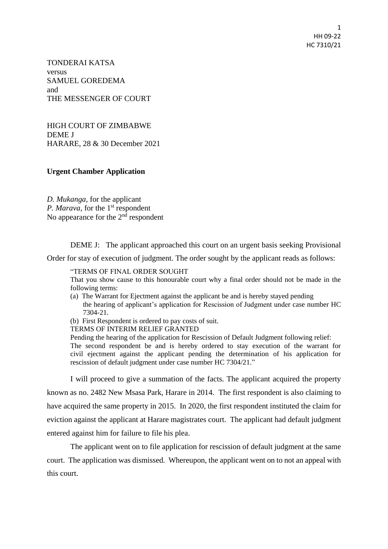1 HH 09-22 HC 7310/21

TONDERAI KATSA versus SAMUEL GOREDEMA and THE MESSENGER OF COURT

HIGH COURT OF ZIMBABWE DEME J HARARE, 28 & 30 December 2021

## **Urgent Chamber Application**

*D. Mukanga,* for the applicant P. Marava, for the 1<sup>st</sup> respondent No appearance for the  $2<sup>nd</sup>$  respondent

DEME J: The applicant approached this court on an urgent basis seeking Provisional

Order for stay of execution of judgment. The order sought by the applicant reads as follows:

## "TERMS OF FINAL ORDER SOUGHT

That you show cause to this honourable court why a final order should not be made in the following terms:

(a) The Warrant for Ejectment against the applicant be and is hereby stayed pending the hearing of applicant's application for Rescission of Judgment under case number HC 7304-21.

(b) First Respondent is ordered to pay costs of suit.

TERMS OF INTERIM RELIEF GRANTED

Pending the hearing of the application for Rescission of Default Judgment following relief:

The second respondent be and is hereby ordered to stay execution of the warrant for civil ejectment against the applicant pending the determination of his application for rescission of default judgment under case number HC 7304/21."

I will proceed to give a summation of the facts. The applicant acquired the property known as no. 2482 New Msasa Park, Harare in 2014. The first respondent is also claiming to have acquired the same property in 2015. In 2020, the first respondent instituted the claim for eviction against the applicant at Harare magistrates court. The applicant had default judgment entered against him for failure to file his plea.

The applicant went on to file application for rescission of default judgment at the same court. The application was dismissed. Whereupon, the applicant went on to not an appeal with this court.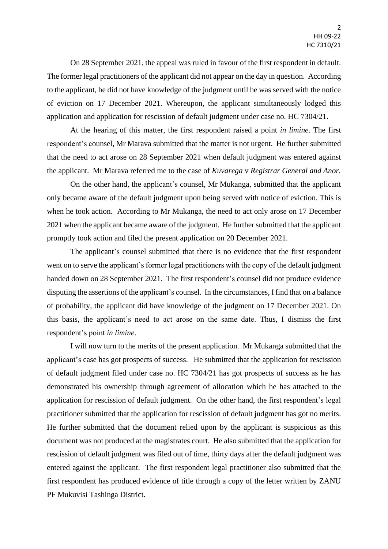On 28 September 2021, the appeal was ruled in favour of the first respondent in default. The former legal practitioners of the applicant did not appear on the day in question. According to the applicant, he did not have knowledge of the judgment until he was served with the notice of eviction on 17 December 2021. Whereupon, the applicant simultaneously lodged this application and application for rescission of default judgment under case no. HC 7304/21.

At the hearing of this matter, the first respondent raised a point *in limine*. The first respondent's counsel, Mr Marava submitted that the matter is not urgent. He further submitted that the need to act arose on 28 September 2021 when default judgment was entered against the applicant. Mr Marava referred me to the case of *Kuvarega* v *Registrar General and Anor.*

On the other hand, the applicant's counsel, Mr Mukanga, submitted that the applicant only became aware of the default judgment upon being served with notice of eviction. This is when he took action. According to Mr Mukanga, the need to act only arose on 17 December 2021 when the applicant became aware of the judgment. He further submitted that the applicant promptly took action and filed the present application on 20 December 2021.

The applicant's counsel submitted that there is no evidence that the first respondent went on to serve the applicant's former legal practitioners with the copy of the default judgment handed down on 28 September 2021. The first respondent's counsel did not produce evidence disputing the assertions of the applicant's counsel. In the circumstances, I find that on a balance of probability, the applicant did have knowledge of the judgment on 17 December 2021. On this basis, the applicant's need to act arose on the same date. Thus, I dismiss the first respondent's point *in limine*.

I will now turn to the merits of the present application. Mr Mukanga submitted that the applicant's case has got prospects of success. He submitted that the application for rescission of default judgment filed under case no. HC 7304/21 has got prospects of success as he has demonstrated his ownership through agreement of allocation which he has attached to the application for rescission of default judgment. On the other hand, the first respondent's legal practitioner submitted that the application for rescission of default judgment has got no merits. He further submitted that the document relied upon by the applicant is suspicious as this document was not produced at the magistrates court. He also submitted that the application for rescission of default judgment was filed out of time, thirty days after the default judgment was entered against the applicant. The first respondent legal practitioner also submitted that the first respondent has produced evidence of title through a copy of the letter written by ZANU PF Mukuvisi Tashinga District.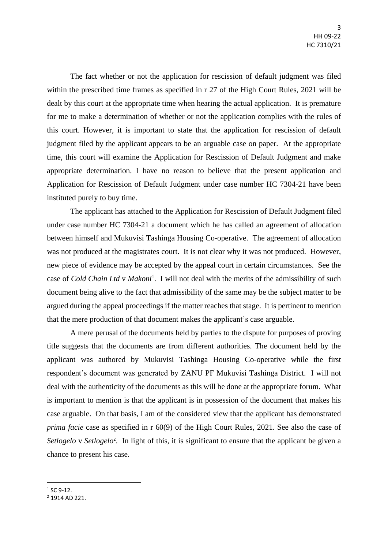The fact whether or not the application for rescission of default judgment was filed within the prescribed time frames as specified in r 27 of the High Court Rules, 2021 will be dealt by this court at the appropriate time when hearing the actual application. It is premature for me to make a determination of whether or not the application complies with the rules of this court. However, it is important to state that the application for rescission of default judgment filed by the applicant appears to be an arguable case on paper. At the appropriate time, this court will examine the Application for Rescission of Default Judgment and make appropriate determination. I have no reason to believe that the present application and Application for Rescission of Default Judgment under case number HC 7304-21 have been instituted purely to buy time.

The applicant has attached to the Application for Rescission of Default Judgment filed under case number HC 7304-21 a document which he has called an agreement of allocation between himself and Mukuvisi Tashinga Housing Co-operative. The agreement of allocation was not produced at the magistrates court. It is not clear why it was not produced. However, new piece of evidence may be accepted by the appeal court in certain circumstances. See the case of *Cold Chain Ltd v Makoni*<sup>1</sup>. I will not deal with the merits of the admissibility of such document being alive to the fact that admissibility of the same may be the subject matter to be argued during the appeal proceedings if the matter reaches that stage. It is pertinent to mention that the mere production of that document makes the applicant's case arguable.

A mere perusal of the documents held by parties to the dispute for purposes of proving title suggests that the documents are from different authorities. The document held by the applicant was authored by Mukuvisi Tashinga Housing Co-operative while the first respondent's document was generated by ZANU PF Mukuvisi Tashinga District. I will not deal with the authenticity of the documents as this will be done at the appropriate forum. What is important to mention is that the applicant is in possession of the document that makes his case arguable. On that basis, I am of the considered view that the applicant has demonstrated *prima facie* case as specified in r 60(9) of the High Court Rules, 2021. See also the case of Setlogelo v Setlogelo<sup>2</sup>. In light of this, it is significant to ensure that the applicant be given a chance to present his case.

 $\overline{a}$ 

 $1$  SC 9-12.

 $2$  1914 AD 221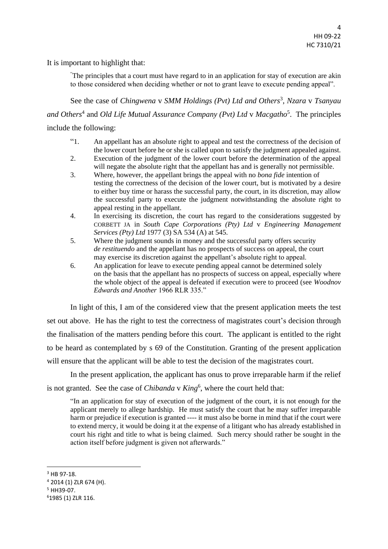It is important to highlight that:

"The principles that a court must have regard to in an application for stay of execution are akin to those considered when deciding whether or not to grant leave to execute pending appeal".

See the case of *Chingwena* v *SMM Holdings* (Pvt) Ltd and Others<sup>3</sup>, Nzara v Tsanyau *and Others*<sup>4</sup> and *Old Life Mutual Assurance Company (Pvt) Ltd* v *Macgatho*<sup>5</sup> . The principles include the following:

- "1. An appellant has an absolute right to appeal and test the correctness of the decision of the lower court before he or she is called upon to satisfy the judgment appealed against.
- 2. Execution of the judgment of the lower court before the determination of the appeal will negate the absolute right that the appellant has and is generally not permissible.
- 3. Where, however, the appellant brings the appeal with no *bona fide* intention of testing the correctness of the decision of the lower court, but is motivated by a desire to either buy time or harass the successful party, the court, in its discretion, may allow the successful party to execute the judgment notwithstanding the absolute right to appeal resting in the appellant.
- 4. In exercising its discretion, the court has regard to the considerations suggested by CORBETT JA in *South Cape Corporations (Pty) Ltd* v *Engineering Management Services (Pty) Ltd* 1977 (3) SA 534 (A) at 545.
- 5. Where the judgment sounds in money and the successful party offers security *de restituendo* and the appellant has no prospects of success on appeal, the court may exercise its discretion against the appellant's absolute right to appeal.
- 6. An application for leave to execute pending appeal cannot be determined solely on the basis that the appellant has no prospects of success on appeal, especially where the whole object of the appeal is defeated if execution were to proceed (see *Woodnov Edwards and Another* 1966 RLR 335."

In light of this, I am of the considered view that the present application meets the test set out above. He has the right to test the correctness of magistrates court's decision through the finalisation of the matters pending before this court. The applicant is entitled to the right to be heard as contemplated by s 69 of the Constitution. Granting of the present application will ensure that the applicant will be able to test the decision of the magistrates court.

In the present application, the applicant has onus to prove irreparable harm if the relief is not granted. See the case of *Chibanda* v *King*<sup>6</sup>, where the court held that:

"In an application for stay of execution of the judgment of the court, it is not enough for the applicant merely to allege hardship. He must satisfy the court that he may suffer irreparable harm or prejudice if execution is granted ---- it must also be borne in mind that if the court were to extend mercy, it would be doing it at the expense of a litigant who has already established in court his right and title to what is being claimed. Such mercy should rather be sought in the action itself before judgment is given not afterwards."

1

<sup>&</sup>lt;sup>3</sup> HB 97-18.

<sup>4</sup> 2014 (1) ZLR 674 (H).

<sup>5</sup> HH39-07.

<sup>6</sup>1985 (1) ZLR 116.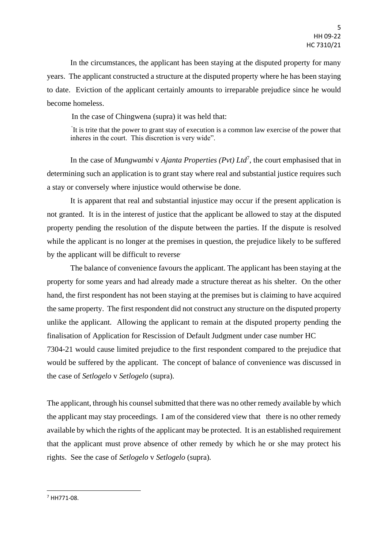In the circumstances, the applicant has been staying at the disputed property for many years. The applicant constructed a structure at the disputed property where he has been staying to date. Eviction of the applicant certainly amounts to irreparable prejudice since he would become homeless.

In the case of Chingwena (supra) it was held that:

*"* It is trite that the power to grant stay of execution is a common law exercise of the power that inheres in the court. This discretion is very wide".

In the case of *Mungwambi* v *Ajanta Properties (Pvt) Ltd*<sup>7</sup>, the court emphasised that in determining such an application is to grant stay where real and substantial justice requires such a stay or conversely where injustice would otherwise be done.

It is apparent that real and substantial injustice may occur if the present application is not granted. It is in the interest of justice that the applicant be allowed to stay at the disputed property pending the resolution of the dispute between the parties. If the dispute is resolved while the applicant is no longer at the premises in question, the prejudice likely to be suffered by the applicant will be difficult to reverse.

The balance of convenience favours the applicant. The applicant has been staying at the property for some years and had already made a structure thereat as his shelter. On the other hand, the first respondent has not been staying at the premises but is claiming to have acquired the same property. The first respondent did not construct any structure on the disputed property unlike the applicant. Allowing the applicant to remain at the disputed property pending the finalisation of Application for Rescission of Default Judgment under case number HC

7304-21 would cause limited prejudice to the first respondent compared to the prejudice that would be suffered by the applicant. The concept of balance of convenience was discussed in the case of *Setlogelo* v *Setlogelo* (supra).

The applicant, through his counsel submitted that there was no other remedy available by which the applicant may stay proceedings. I am of the considered view that there is no other remedy available by which the rights of the applicant may be protected. It is an established requirement that the applicant must prove absence of other remedy by which he or she may protect his rights. See the case of *Setlogelo* v *Setlogelo* (supra)*.*

<sup>7</sup> HH771-08.

**.**